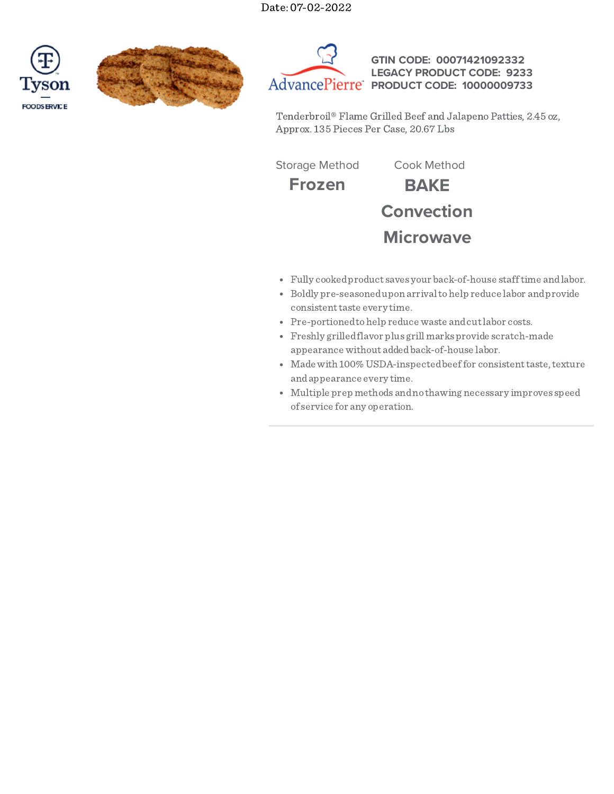





**GTIN CODE: 00071421092332 LEGACY PRODUCT CODE: 9233 PRODUCT CODE: 10000009733**

Tenderbroil® Flame Grilled Beef and Jalapeno Patties, 2.45 oz, Approx. 135 Pieces Per Case, 20.67 Lbs

**Frozen BAKE** Storage Method Cook Method

**Convection Microwave**

- Fully cookedproduct saves your back-of-house stafftime andlabor.
- Boldly pre-seasonedupon arrivaltohelp reduce labor andprovide consistent taste every time.
- Pre-portioned to help reduce waste and cut labor costs.
- Freshly grilledflavor plus grill marks provide scratch-made appearance without addedback-of-house labor.
- Made with 100% USDA-inspected beef for consistent taste, texture andappearance every time.
- Multiple prep methods andno thawing necessary improves speed of service for any operation.